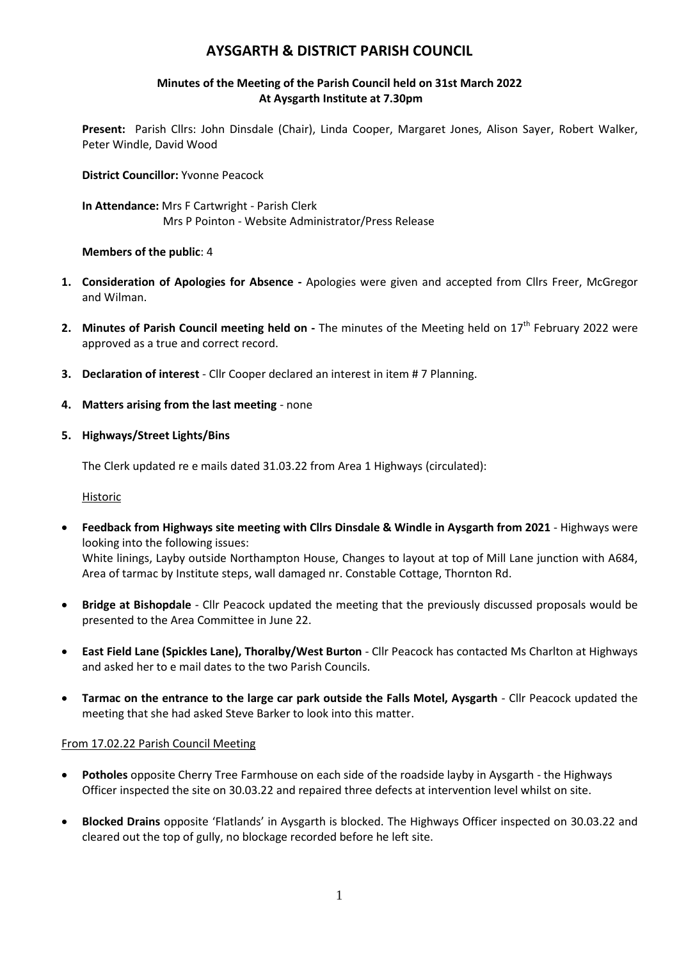# **AYSGARTH & DISTRICT PARISH COUNCIL**

#### **Minutes of the Meeting of the Parish Council held on 31st March 2022 At Aysgarth Institute at 7.30pm**

**Present:** Parish Cllrs: John Dinsdale (Chair), Linda Cooper, Margaret Jones, Alison Sayer, Robert Walker, Peter Windle, David Wood

**District Councillor:** Yvonne Peacock

**In Attendance:** Mrs F Cartwright - Parish Clerk Mrs P Pointon - Website Administrator/Press Release

#### **Members of the public**: 4

- **1. Consideration of Apologies for Absence -** Apologies were given and accepted from Cllrs Freer, McGregor and Wilman.
- 2. Minutes of Parish Council meeting held on The minutes of the Meeting held on 17<sup>th</sup> February 2022 were approved as a true and correct record.
- **3. Declaration of interest** Cllr Cooper declared an interest in item # 7 Planning.
- **4. Matters arising from the last meeting** none
- **5. Highways/Street Lights/Bins**

The Clerk updated re e mails dated 31.03.22 from Area 1 Highways (circulated):

Historic

- **Feedback from Highways site meeting with Cllrs Dinsdale & Windle in Aysgarth from 2021** Highways were looking into the following issues: White linings, Layby outside Northampton House, Changes to layout at top of Mill Lane junction with A684, Area of tarmac by Institute steps, wall damaged nr. Constable Cottage, Thornton Rd.
- **Bridge at Bishopdale** Cllr Peacock updated the meeting that the previously discussed proposals would be presented to the Area Committee in June 22.
- **East Field Lane (Spickles Lane), Thoralby/West Burton** Cllr Peacock has contacted Ms Charlton at Highways and asked her to e mail dates to the two Parish Councils.
- **Tarmac on the entrance to the large car park outside the Falls Motel, Aysgarth** Cllr Peacock updated the meeting that she had asked Steve Barker to look into this matter.

#### From 17.02.22 Parish Council Meeting

- **Potholes** opposite Cherry Tree Farmhouse on each side of the roadside layby in Aysgarth the Highways Officer inspected the site on 30.03.22 and repaired three defects at intervention level whilst on site.
- **Blocked Drains** opposite 'Flatlands' in Aysgarth is blocked. The Highways Officer inspected on 30.03.22 and cleared out the top of gully, no blockage recorded before he left site.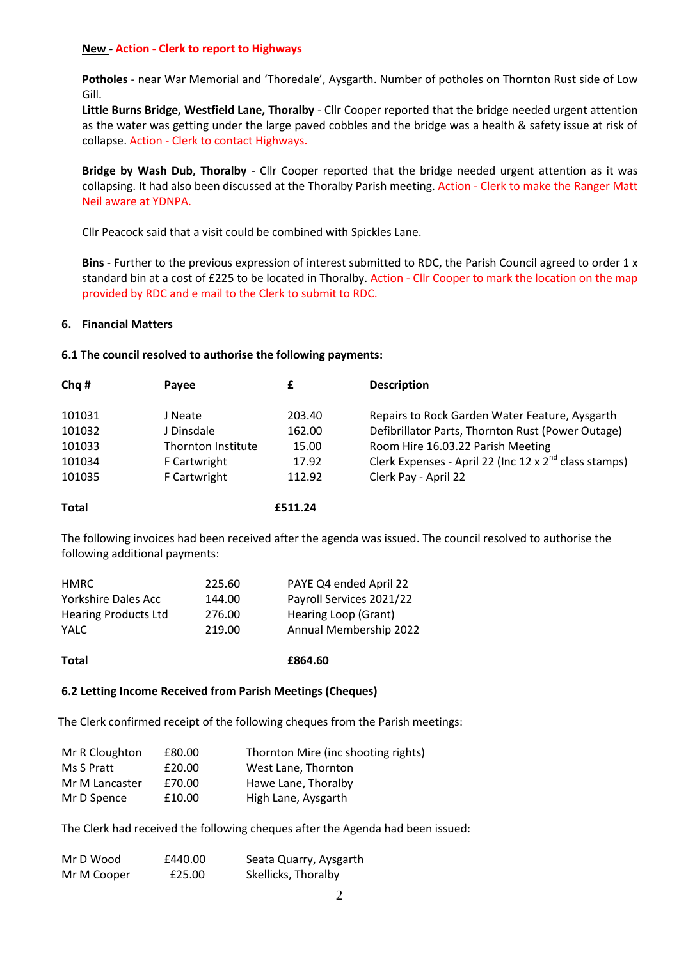#### **New - Action - Clerk to report to Highways**

**Potholes** - near War Memorial and 'Thoredale', Aysgarth. Number of potholes on Thornton Rust side of Low Gill.

**Little Burns Bridge, Westfield Lane, Thoralby** - Cllr Cooper reported that the bridge needed urgent attention as the water was getting under the large paved cobbles and the bridge was a health & safety issue at risk of collapse. Action - Clerk to contact Highways.

**Bridge by Wash Dub, Thoralby** - Cllr Cooper reported that the bridge needed urgent attention as it was collapsing. It had also been discussed at the Thoralby Parish meeting. Action - Clerk to make the Ranger Matt Neil aware at YDNPA.

Cllr Peacock said that a visit could be combined with Spickles Lane.

**Bins** - Further to the previous expression of interest submitted to RDC, the Parish Council agreed to order 1 x standard bin at a cost of £225 to be located in Thoralby. Action - Cllr Cooper to mark the location on the map provided by RDC and e mail to the Clerk to submit to RDC.

#### **6. Financial Matters**

#### **6.1 The council resolved to authorise the following payments:**

| Chq#   | Payee              |        | <b>Description</b>                                              |
|--------|--------------------|--------|-----------------------------------------------------------------|
| 101031 | J Neate            | 203.40 | Repairs to Rock Garden Water Feature, Aysgarth                  |
| 101032 | J Dinsdale         | 162.00 | Defibrillator Parts, Thornton Rust (Power Outage)               |
| 101033 | Thornton Institute | 15.00  | Room Hire 16.03.22 Parish Meeting                               |
| 101034 | F Cartwright       | 17.92  | Clerk Expenses - April 22 (Inc $12 \times 2^{nd}$ class stamps) |
| 101035 | F Cartwright       | 112.92 | Clerk Pay - April 22                                            |

#### **Total £511.24**

The following invoices had been received after the agenda was issued. The council resolved to authorise the following additional payments:

| HMRC                        | 225.60 | PAYE Q4 ended April 22   |
|-----------------------------|--------|--------------------------|
| Yorkshire Dales Acc         | 144.00 | Payroll Services 2021/22 |
| <b>Hearing Products Ltd</b> | 276.00 | Hearing Loop (Grant)     |
| <b>YALC</b>                 | 219.00 | Annual Membership 2022   |
|                             |        |                          |

**Total £864.60**

#### **6.2 Letting Income Received from Parish Meetings (Cheques)**

The Clerk confirmed receipt of the following cheques from the Parish meetings:

| Mr R Cloughton | £80.00 | Thornton Mire (inc shooting rights) |
|----------------|--------|-------------------------------------|
| Ms S Pratt     | £20.00 | West Lane, Thornton                 |
| Mr M Lancaster | £70.00 | Hawe Lane, Thoralby                 |
| Mr D Spence    | £10.00 | High Lane, Aysgarth                 |

The Clerk had received the following cheques after the Agenda had been issued:

| Mr D Wood   | £440.00 | Seata Quarry, Aysgarth |
|-------------|---------|------------------------|
| Mr M Cooper | £25.00  | Skellicks, Thoralby    |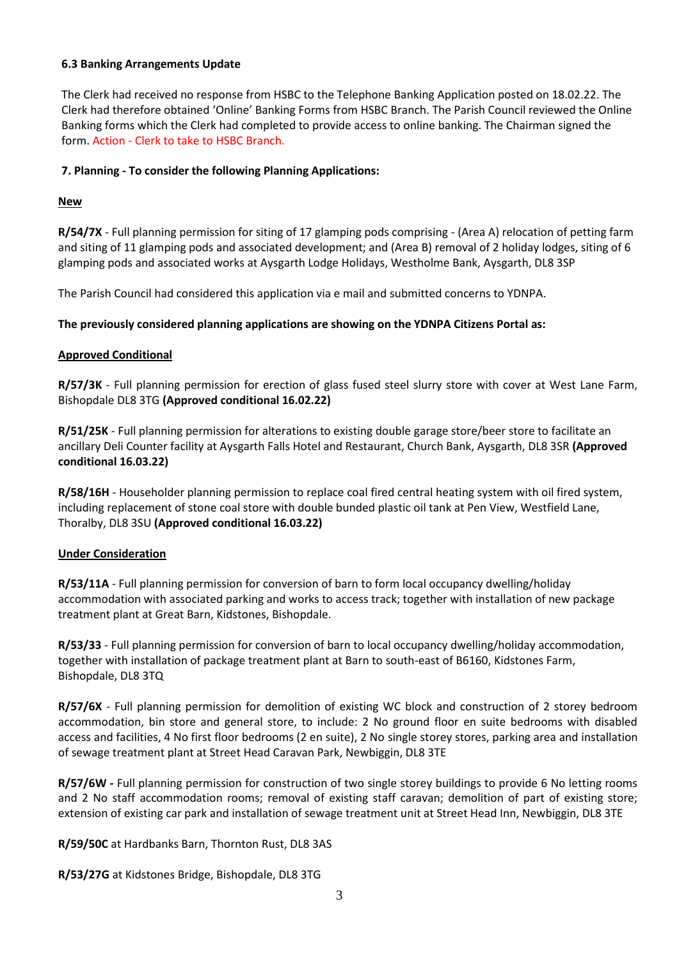#### **6.3 Banking Arrangements Update**

The Clerk had received no response from HSBC to the Telephone Banking Application posted on 18.02.22. The Clerk had therefore obtained 'Online' Banking Forms from HSBC Branch. The Parish Council reviewed the Online Banking forms which the Clerk had completed to provide access to online banking. The Chairman signed the form. Action - Clerk to take to HSBC Branch.

## **7. Planning - To consider the following Planning Applications:**

## **New**

**R/54/7X** - Full planning permission for siting of 17 glamping pods comprising - (Area A) relocation of petting farm and siting of 11 glamping pods and associated development; and (Area B) removal of 2 holiday lodges, siting of 6 glamping pods and associated works at Aysgarth Lodge Holidays, Westholme Bank, Aysgarth, DL8 3SP

The Parish Council had considered this application via e mail and submitted concerns to YDNPA.

## **The previously considered planning applications are showing on the YDNPA Citizens Portal as:**

## **Approved Conditional**

**R/57/3K** - Full planning permission for erection of glass fused steel slurry store with cover at West Lane Farm, Bishopdale DL8 3TG **(Approved conditional 16.02.22)**

**R/51/25K** - Full planning permission for alterations to existing double garage store/beer store to facilitate an ancillary Deli Counter facility at Aysgarth Falls Hotel and Restaurant, Church Bank, Aysgarth, DL8 3SR **(Approved conditional 16.03.22)**

**R/58/16H** - Householder planning permission to replace coal fired central heating system with oil fired system, including replacement of stone coal store with double bunded plastic oil tank at Pen View, Westfield Lane, Thoralby, DL8 3SU **(Approved conditional 16.03.22)**

## **Under Consideration**

**R/53/11A** - Full planning permission for conversion of barn to form local occupancy dwelling/holiday accommodation with associated parking and works to access track; together with installation of new package treatment plant at Great Barn, Kidstones, Bishopdale.

**R/53/33** - Full planning permission for conversion of barn to local occupancy dwelling/holiday accommodation, together with installation of package treatment plant at Barn to south-east of B6160, Kidstones Farm, Bishopdale, DL8 3TQ

**R/57/6X** - Full planning permission for demolition of existing WC block and construction of 2 storey bedroom accommodation, bin store and general store, to include: 2 No ground floor en suite bedrooms with disabled access and facilities, 4 No first floor bedrooms (2 en suite), 2 No single storey stores, parking area and installation of sewage treatment plant at Street Head Caravan Park, Newbiggin, DL8 3TE

**R/57/6W -** Full planning permission for construction of two single storey buildings to provide 6 No letting rooms and 2 No staff accommodation rooms; removal of existing staff caravan; demolition of part of existing store; extension of existing car park and installation of sewage treatment unit at Street Head Inn, Newbiggin, DL8 3TE

**R/59/50C** at Hardbanks Barn, Thornton Rust, DL8 3AS

**R/53/27G** at Kidstones Bridge, Bishopdale, DL8 3TG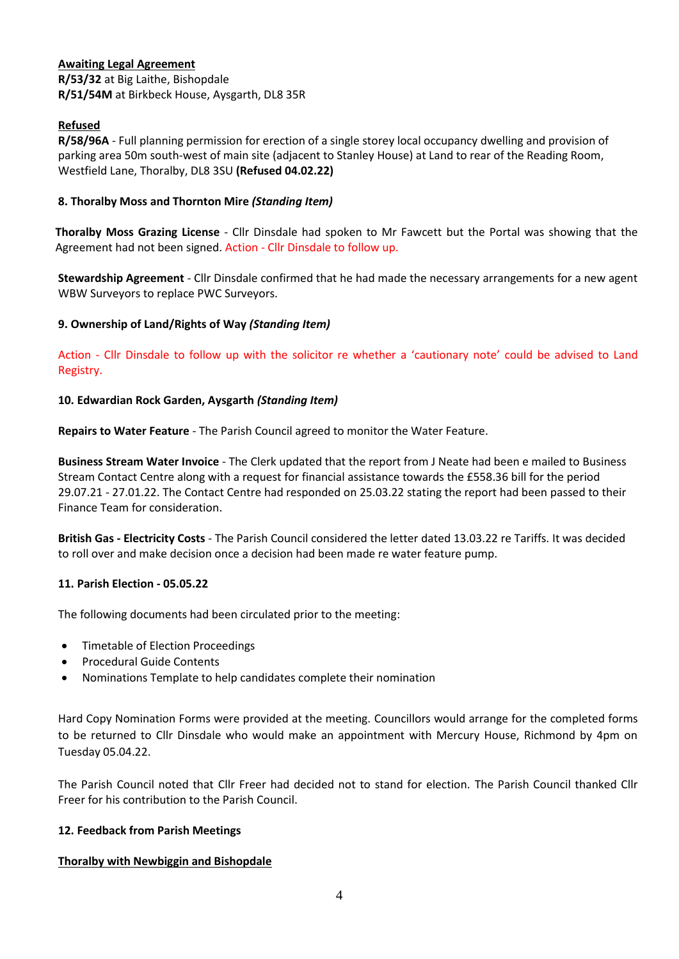#### **Awaiting Legal Agreement R/53/32** at Big Laithe, Bishopdale **R/51/54M** at Birkbeck House, Aysgarth, DL8 35R

## **Refused**

**R/58/96A** - Full planning permission for erection of a single storey local occupancy dwelling and provision of parking area 50m south-west of main site (adjacent to Stanley House) at Land to rear of the Reading Room, Westfield Lane, Thoralby, DL8 3SU **(Refused 04.02.22)**

## **8. Thoralby Moss and Thornton Mire** *(Standing Item)*

**Thoralby Moss Grazing License** - Cllr Dinsdale had spoken to Mr Fawcett but the Portal was showing that the Agreement had not been signed. Action - Cllr Dinsdale to follow up.

**Stewardship Agreement** - Cllr Dinsdale confirmed that he had made the necessary arrangements for a new agent WBW Surveyors to replace PWC Surveyors.

## **9. Ownership of Land/Rights of Way** *(Standing Item)*

Action - Cllr Dinsdale to follow up with the solicitor re whether a 'cautionary note' could be advised to Land Registry.

#### **10. Edwardian Rock Garden, Aysgarth** *(Standing Item)*

**Repairs to Water Feature** - The Parish Council agreed to monitor the Water Feature.

**Business Stream Water Invoice** - The Clerk updated that the report from J Neate had been e mailed to Business Stream Contact Centre along with a request for financial assistance towards the £558.36 bill for the period 29.07.21 - 27.01.22. The Contact Centre had responded on 25.03.22 stating the report had been passed to their Finance Team for consideration.

**British Gas - Electricity Costs** - The Parish Council considered the letter dated 13.03.22 re Tariffs. It was decided to roll over and make decision once a decision had been made re water feature pump.

#### **11. Parish Election - 05.05.22**

The following documents had been circulated prior to the meeting:

- Timetable of Election Proceedings
- Procedural Guide Contents
- Nominations Template to help candidates complete their nomination

Hard Copy Nomination Forms were provided at the meeting. Councillors would arrange for the completed forms to be returned to Cllr Dinsdale who would make an appointment with Mercury House, Richmond by 4pm on Tuesday 05.04.22.

The Parish Council noted that Cllr Freer had decided not to stand for election. The Parish Council thanked Cllr Freer for his contribution to the Parish Council.

## **12. Feedback from Parish Meetings**

#### **Thoralby with Newbiggin and Bishopdale**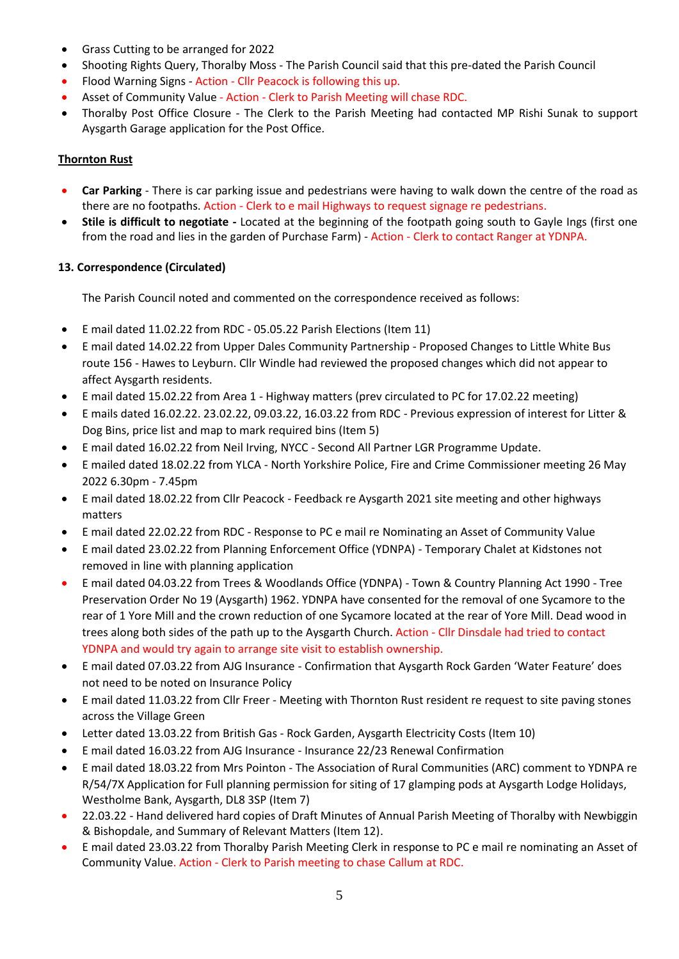- Grass Cutting to be arranged for 2022
- Shooting Rights Query, Thoralby Moss The Parish Council said that this pre-dated the Parish Council
- Flood Warning Signs Action Cllr Peacock is following this up.
- Asset of Community Value Action Clerk to Parish Meeting will chase RDC.
- Thoralby Post Office Closure The Clerk to the Parish Meeting had contacted MP Rishi Sunak to support Aysgarth Garage application for the Post Office.

## **Thornton Rust**

- **Car Parking** There is car parking issue and pedestrians were having to walk down the centre of the road as there are no footpaths. Action - Clerk to e mail Highways to request signage re pedestrians.
- **Stile is difficult to negotiate -** Located at the beginning of the footpath going south to Gayle Ings (first one from the road and lies in the garden of Purchase Farm) - Action - Clerk to contact Ranger at YDNPA.

## **13. Correspondence (Circulated)**

The Parish Council noted and commented on the correspondence received as follows:

- E mail dated 11.02.22 from RDC 05.05.22 Parish Elections (Item 11)
- E mail dated 14.02.22 from Upper Dales Community Partnership Proposed Changes to Little White Bus route 156 - Hawes to Leyburn. Cllr Windle had reviewed the proposed changes which did not appear to affect Aysgarth residents.
- E mail dated 15.02.22 from Area 1 Highway matters (prev circulated to PC for 17.02.22 meeting)
- E mails dated 16.02.22. 23.02.22, 09.03.22, 16.03.22 from RDC Previous expression of interest for Litter & Dog Bins, price list and map to mark required bins (Item 5)
- E mail dated 16.02.22 from Neil Irving, NYCC Second All Partner LGR Programme Update.
- E mailed dated 18.02.22 from YLCA North Yorkshire Police, Fire and Crime Commissioner meeting 26 May 2022 6.30pm - 7.45pm
- E mail dated 18.02.22 from Cllr Peacock Feedback re Aysgarth 2021 site meeting and other highways matters
- E mail dated 22.02.22 from RDC Response to PC e mail re Nominating an Asset of Community Value
- E mail dated 23.02.22 from Planning Enforcement Office (YDNPA) Temporary Chalet at Kidstones not removed in line with planning application
- E mail dated 04.03.22 from Trees & Woodlands Office (YDNPA) Town & Country Planning Act 1990 Tree Preservation Order No 19 (Aysgarth) 1962. YDNPA have consented for the removal of one Sycamore to the rear of 1 Yore Mill and the crown reduction of one Sycamore located at the rear of Yore Mill. Dead wood in trees along both sides of the path up to the Aysgarth Church. Action - Cllr Dinsdale had tried to contact YDNPA and would try again to arrange site visit to establish ownership.
- E mail dated 07.03.22 from AJG Insurance Confirmation that Aysgarth Rock Garden 'Water Feature' does not need to be noted on Insurance Policy
- E mail dated 11.03.22 from Cllr Freer Meeting with Thornton Rust resident re request to site paving stones across the Village Green
- Letter dated 13.03.22 from British Gas Rock Garden, Aysgarth Electricity Costs (Item 10)
- E mail dated 16.03.22 from AJG Insurance Insurance 22/23 Renewal Confirmation
- E mail dated 18.03.22 from Mrs Pointon The Association of Rural Communities (ARC) comment to YDNPA re R/54/7X Application for Full planning permission for siting of 17 glamping pods at Aysgarth Lodge Holidays, Westholme Bank, Aysgarth, DL8 3SP (Item 7)
- 22.03.22 Hand delivered hard copies of Draft Minutes of Annual Parish Meeting of Thoralby with Newbiggin & Bishopdale, and Summary of Relevant Matters (Item 12).
- E mail dated 23.03.22 from Thoralby Parish Meeting Clerk in response to PC e mail re nominating an Asset of Community Value. Action - Clerk to Parish meeting to chase Callum at RDC.